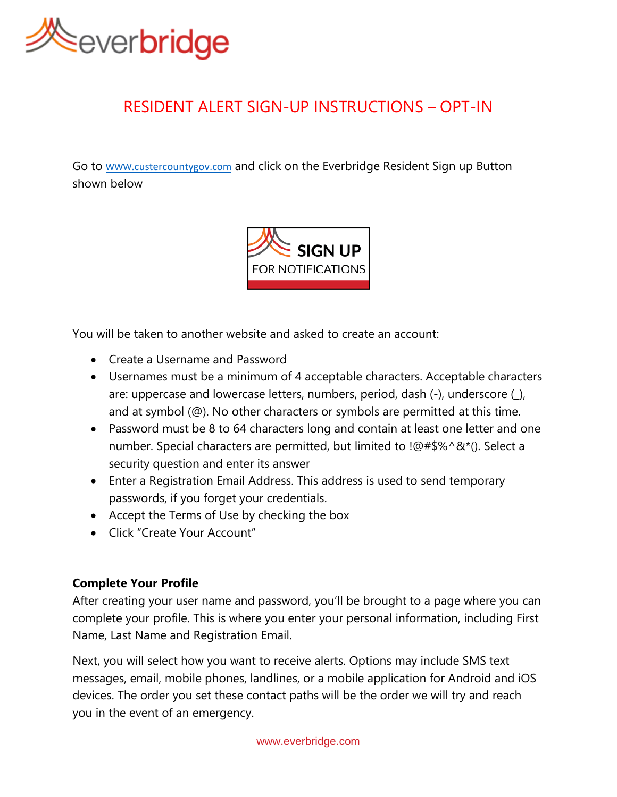

# RESIDENT ALERT SIGN-UP INSTRUCTIONS – OPT-IN

Go to www.[custercountygov.com](http://www.custercountygov.com/) and click on the Everbridge Resident Sign up Button shown below



You will be taken to another website and asked to create an account:

- Create a Username and Password
- Usernames must be a minimum of 4 acceptable characters. Acceptable characters are: uppercase and lowercase letters, numbers, period, dash (-), underscore (\_), and at symbol (@). No other characters or symbols are permitted at this time.
- Password must be 8 to 64 characters long and contain at least one letter and one number. Special characters are permitted, but limited to !@#\$%^&\*(). Select a security question and enter its answer
- Enter a Registration Email Address. This address is used to send temporary passwords, if you forget your credentials.
- Accept the Terms of Use by checking the box
- Click "Create Your Account"

# **Complete Your Profile**

After creating your user name and password, you'll be brought to a page where you can complete your profile. This is where you enter your personal information, including First Name, Last Name and Registration Email.

Next, you will select how you want to receive alerts. Options may include SMS text messages, email, mobile phones, landlines, or a mobile application for Android and iOS devices. The order you set these contact paths will be the order we will try and reach you in the event of an emergency.